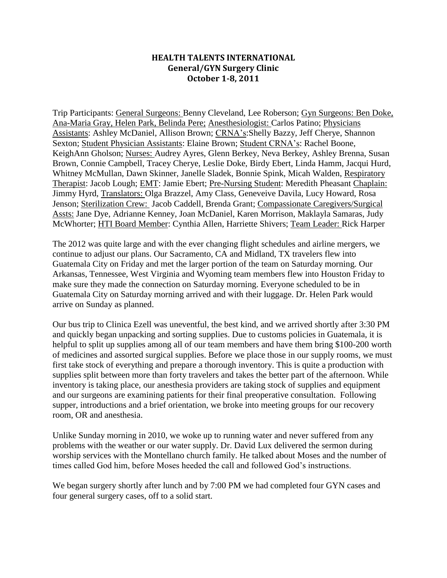## **HEALTH TALENTS INTERNATIONAL General/GYN Surgery Clinic October 1-8, 2011**

Trip Participants: General Surgeons: Benny Cleveland, Lee Roberson; Gyn Surgeons: Ben Doke, Ana-Maria Gray, Helen Park, Belinda Pere; Anesthesiologist: Carlos Patino; Physicians Assistants: Ashley McDaniel, Allison Brown; CRNA's:Shelly Bazzy, Jeff Cherye, Shannon Sexton; Student Physician Assistants: Elaine Brown; Student CRNA's: Rachel Boone, KeighAnn Gholson; Nurses: Audrey Ayres, Glenn Berkey, Neva Berkey, Ashley Brenna, Susan Brown, Connie Campbell, Tracey Cherye, Leslie Doke, Birdy Ebert, Linda Hamm, Jacqui Hurd, Whitney McMullan, Dawn Skinner, Janelle Sladek, Bonnie Spink, Micah Walden, Respiratory Therapist: Jacob Lough; EMT: Jamie Ebert; Pre-Nursing Student: Meredith Pheasant Chaplain: Jimmy Hyrd, Translators: Olga Brazzel, Amy Class, Geneveive Davila, Lucy Howard, Rosa Jenson; Sterilization Crew: Jacob Caddell, Brenda Grant; Compassionate Caregivers/Surgical Assts: Jane Dye, Adrianne Kenney, Joan McDaniel, Karen Morrison, Maklayla Samaras, Judy McWhorter; HTI Board Member: Cynthia Allen, Harriette Shivers; Team Leader: Rick Harper

The 2012 was quite large and with the ever changing flight schedules and airline mergers, we continue to adjust our plans. Our Sacramento, CA and Midland, TX travelers flew into Guatemala City on Friday and met the larger portion of the team on Saturday morning. Our Arkansas, Tennessee, West Virginia and Wyoming team members flew into Houston Friday to make sure they made the connection on Saturday morning. Everyone scheduled to be in Guatemala City on Saturday morning arrived and with their luggage. Dr. Helen Park would arrive on Sunday as planned.

Our bus trip to Clinica Ezell was uneventful, the best kind, and we arrived shortly after 3:30 PM and quickly began unpacking and sorting supplies. Due to customs policies in Guatemala, it is helpful to split up supplies among all of our team members and have them bring \$100-200 worth of medicines and assorted surgical supplies. Before we place those in our supply rooms, we must first take stock of everything and prepare a thorough inventory. This is quite a production with supplies split between more than forty travelers and takes the better part of the afternoon. While inventory is taking place, our anesthesia providers are taking stock of supplies and equipment and our surgeons are examining patients for their final preoperative consultation. Following supper, introductions and a brief orientation, we broke into meeting groups for our recovery room, OR and anesthesia.

Unlike Sunday morning in 2010, we woke up to running water and never suffered from any problems with the weather or our water supply. Dr. David Lux delivered the sermon during worship services with the Montellano church family. He talked about Moses and the number of times called God him, before Moses heeded the call and followed God's instructions.

We began surgery shortly after lunch and by 7:00 PM we had completed four GYN cases and four general surgery cases, off to a solid start.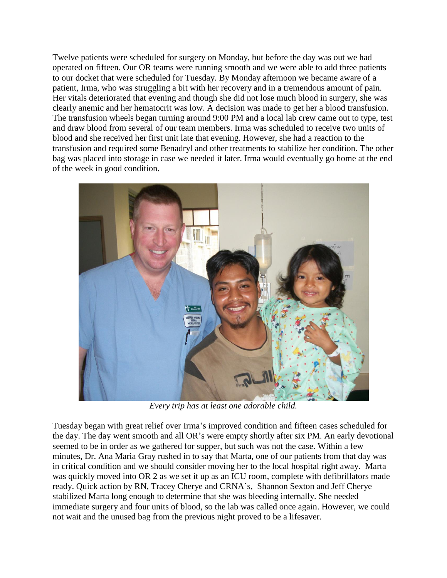Twelve patients were scheduled for surgery on Monday, but before the day was out we had operated on fifteen. Our OR teams were running smooth and we were able to add three patients to our docket that were scheduled for Tuesday. By Monday afternoon we became aware of a patient, Irma, who was struggling a bit with her recovery and in a tremendous amount of pain. Her vitals deteriorated that evening and though she did not lose much blood in surgery, she was clearly anemic and her hematocrit was low. A decision was made to get her a blood transfusion. The transfusion wheels began turning around 9:00 PM and a local lab crew came out to type, test and draw blood from several of our team members. Irma was scheduled to receive two units of blood and she received her first unit late that evening. However, she had a reaction to the transfusion and required some Benadryl and other treatments to stabilize her condition. The other bag was placed into storage in case we needed it later. Irma would eventually go home at the end of the week in good condition.



*Every trip has at least one adorable child.*

Tuesday began with great relief over Irma's improved condition and fifteen cases scheduled for the day. The day went smooth and all OR's were empty shortly after six PM. An early devotional seemed to be in order as we gathered for supper, but such was not the case. Within a few minutes, Dr. Ana Maria Gray rushed in to say that Marta, one of our patients from that day was in critical condition and we should consider moving her to the local hospital right away. Marta was quickly moved into OR 2 as we set it up as an ICU room, complete with defibrillators made ready. Quick action by RN, Tracey Cherye and CRNA's, Shannon Sexton and Jeff Cherye stabilized Marta long enough to determine that she was bleeding internally. She needed immediate surgery and four units of blood, so the lab was called once again. However, we could not wait and the unused bag from the previous night proved to be a lifesaver.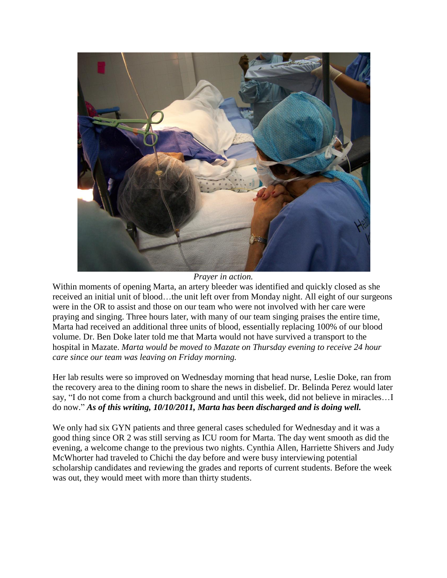

*Prayer in action.*

Within moments of opening Marta, an artery bleeder was identified and quickly closed as she received an initial unit of blood…the unit left over from Monday night. All eight of our surgeons were in the OR to assist and those on our team who were not involved with her care were praying and singing. Three hours later, with many of our team singing praises the entire time, Marta had received an additional three units of blood, essentially replacing 100% of our blood volume. Dr. Ben Doke later told me that Marta would not have survived a transport to the hospital in Mazate. *Marta would be moved to Mazate on Thursday evening to receive 24 hour care since our team was leaving on Friday morning.*

Her lab results were so improved on Wednesday morning that head nurse, Leslie Doke, ran from the recovery area to the dining room to share the news in disbelief. Dr. Belinda Perez would later say, "I do not come from a church background and until this week, did not believe in miracles…I do now." *As of this writing, 10/10/2011, Marta has been discharged and is doing well.*

We only had six GYN patients and three general cases scheduled for Wednesday and it was a good thing since OR 2 was still serving as ICU room for Marta. The day went smooth as did the evening, a welcome change to the previous two nights. Cynthia Allen, Harriette Shivers and Judy McWhorter had traveled to Chichi the day before and were busy interviewing potential scholarship candidates and reviewing the grades and reports of current students. Before the week was out, they would meet with more than thirty students.